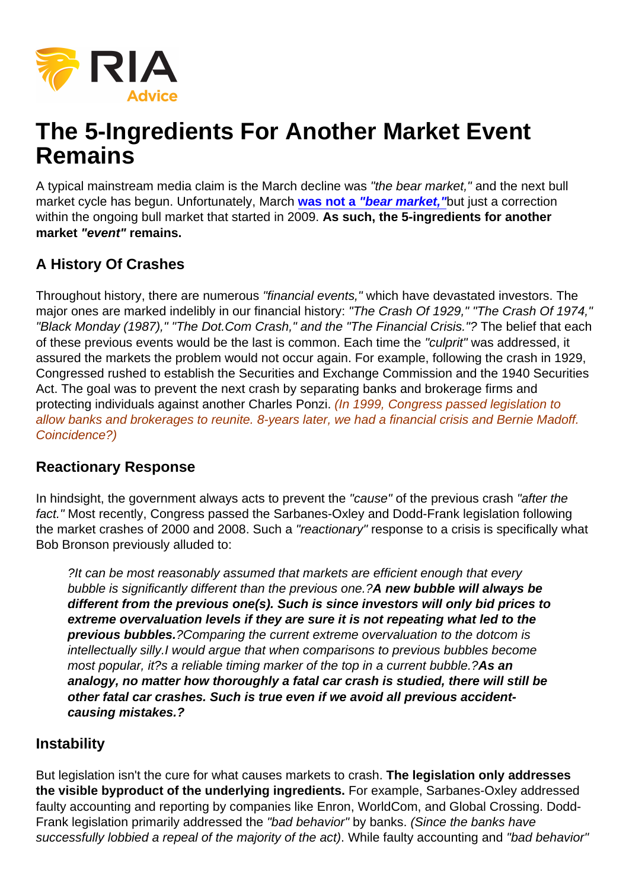# The 5-Ingredients For Another Market Event Remains

A typical mainstream media claim is the March decline was "the bear market," and the next bull market cycle has begun. Unfortunately, March [was not a "bear market,"](https://realinvestmentadvice.com/macroview-march-was-a-correction-bear-market-still-lurks/) but just a correction within the ongoing bull market that started in 2009. As such, the 5-ingredients for another market "event" remains.

## A History Of Crashes

Throughout history, there are numerous "financial events," which have devastated investors. The major ones are marked indelibly in our financial history: "The Crash Of 1929," "The Crash Of 1974," "Black Monday (1987)," "The Dot.Com Crash," and the "The Financial Crisis."? The belief that each of these previous events would be the last is common. Each time the "culprit" was addressed, it assured the markets the problem would not occur again. For example, following the crash in 1929, Congressed rushed to establish the Securities and Exchange Commission and the 1940 Securities Act. The goal was to prevent the next crash by separating banks and brokerage firms and protecting individuals against another Charles Ponzi. (In 1999, Congress passed legislation to allow banks and brokerages to reunite. 8-years later, we had a financial crisis and Bernie Madoff. Coincidence?)

#### Reactionary Response

In hindsight, the government always acts to prevent the "cause" of the previous crash "after the fact." Most recently, Congress passed the Sarbanes-Oxley and Dodd-Frank legislation following the market crashes of 2000 and 2008. Such a "reactionary" response to a crisis is specifically what Bob Bronson previously alluded to:

?It can be most reasonably assumed that markets are efficient enough that every bubble is significantly different than the previous one.?A new bubble will always be different from the previous one(s). Such is since investors will only bid prices to extreme overvaluation levels if they are sure it is not repeating what led to the previous bubbles. ?Comparing the current extreme overvaluation to the dotcom is intellectually silly.I would argue that when comparisons to previous bubbles become most popular, it?s a reliable timing marker of the top in a current bubble.?As an analogy, no matter how thoroughly a fatal car crash is studied, there will still be other fatal car crashes. Such is true even if we avoid all previous accidentcausing mistakes.?

#### **Instability**

But legislation isn't the cure for what causes markets to crash. The legislation only addresses the visible byproduct of the underlying ingredients. For example, Sarbanes-Oxley addressed faulty accounting and reporting by companies like Enron, WorldCom, and Global Crossing. Dodd-Frank legislation primarily addressed the "bad behavior" by banks. (Since the banks have successfully lobbied a repeal of the majority of the act). While faulty accounting and "bad behavior"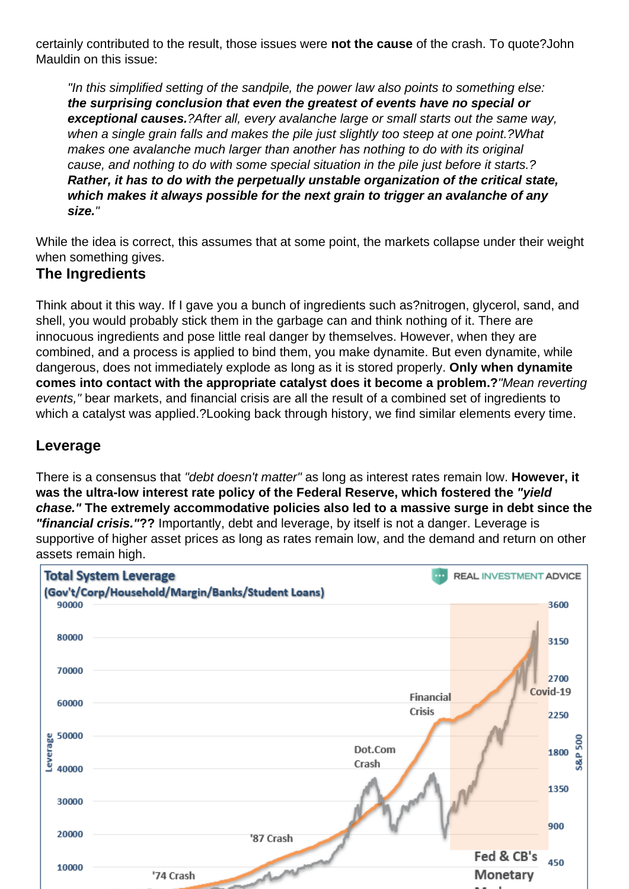certainly contributed to the result, those issues were not the cause of the crash. To quote?John Mauldin on this issue:

"In this simplified setting of the sandpile, the power law also points to something else: the surprising conclusion that even the greatest of events have no special or exceptional causes. ?After all, every avalanche large or small starts out the same way, when a single grain falls and makes the pile just slightly too steep at one point.?What makes one avalanche much larger than another has nothing to do with its original cause, and nothing to do with some special situation in the pile just before it starts.? Rather, it has to do with the perpetually unstable organization of the critical state, which makes it always possible for the next grain to trigger an avalanche of any size."

While the idea is correct, this assumes that at some point, the markets collapse under their weight when something gives.

#### The Ingredients

Think about it this way. If I gave you a bunch of ingredients such as?nitrogen, glycerol, sand, and shell, you would probably stick them in the garbage can and think nothing of it. There are innocuous ingredients and pose little real danger by themselves. However, when they are combined, and a process is applied to bind them, you make dynamite. But even dynamite, while dangerous, does not immediately explode as long as it is stored properly. Only when dynamite comes into contact with the appropriate catalyst does it become a problem.? "Mean reverting events," bear markets, and financial crisis are all the result of a combined set of ingredients to which a catalyst was applied.?Looking back through history, we find similar elements every time.

#### Leverage

There is a consensus that "debt doesn't matter" as long as interest rates remain low. However, it was the ultra-low interest rate policy of the Federal Reserve, which fostered the "vield" chase." The extremely accommodative policies also led to a massive surge in debt since the "financial crisis." ?? Importantly, debt and leverage, by itself is not a danger. Leverage is supportive of higher asset prices as long as rates remain low, and the demand and return on other assets remain high.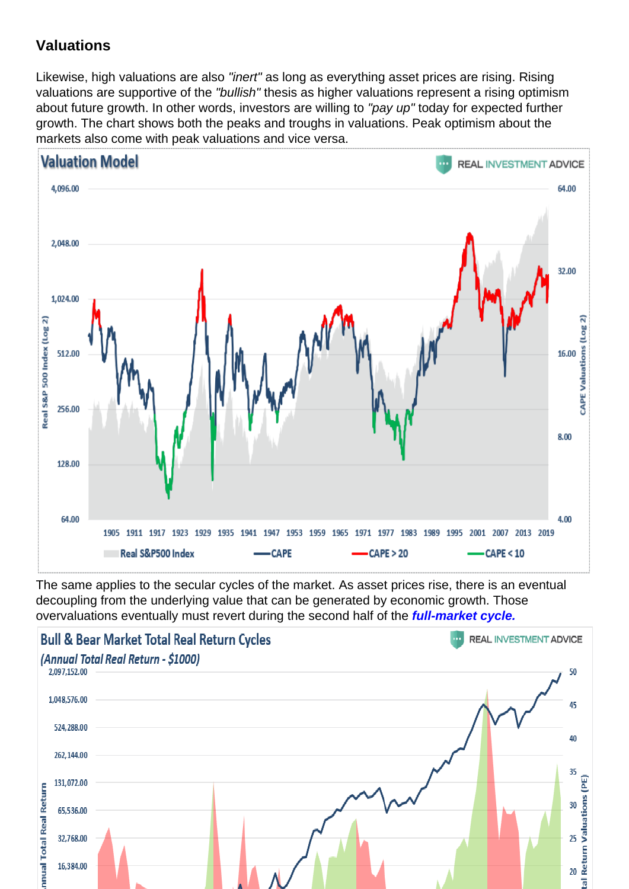## **Valuations**

Likewise, high valuations are also "inert" as long as everything asset prices are rising. Rising valuations are supportive of the "bullish" thesis as higher valuations represent a rising optimism about future growth. In other words, investors are willing to "pay up" today for expected further growth. The chart shows both the peaks and troughs in valuations. Peak optimism about the markets also come with peak valuations and vice versa.

The same applies to the secular cycles of the market. As asset prices rise, there is an eventual decoupling from the underlying value that can be generated by economic growth. Those overvaluations eventually must revert during the second half of the [full-market cycle.](https://realinvestmentadvice.com/technically-speaking-the-4-phases-of-a-full-market-cycle/)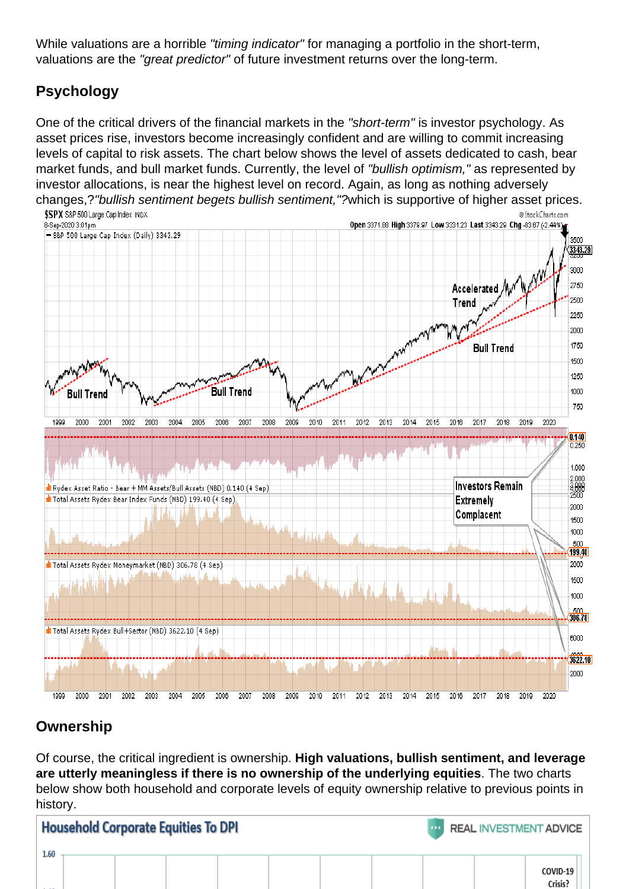While valuations are a horrible "timing indicator" for managing a portfolio in the short-term, valuations are the "great predictor" of future investment returns over the long-term.

## Psychology

One of the critical drivers of the financial markets in the "short-term" is investor psychology. As asset prices rise, investors become increasingly confident and are willing to commit increasing levels of capital to risk assets. The chart below shows the level of assets dedicated to cash, bear market funds, and bull market funds. Currently, the level of "bullish optimism," as represented by investor allocations, is near the highest level on record. Again, as long as nothing adversely changes,?"bullish sentiment begets bullish sentiment,"?which is supportive of higher asset prices.

## **Ownership**

Of course, the critical ingredient is ownership. High valuations, bullish sentiment, and leverage are utterly meaningless if there is no ownership of the underlying equities . The two charts below show both household and corporate levels of equity ownership relative to previous points in history.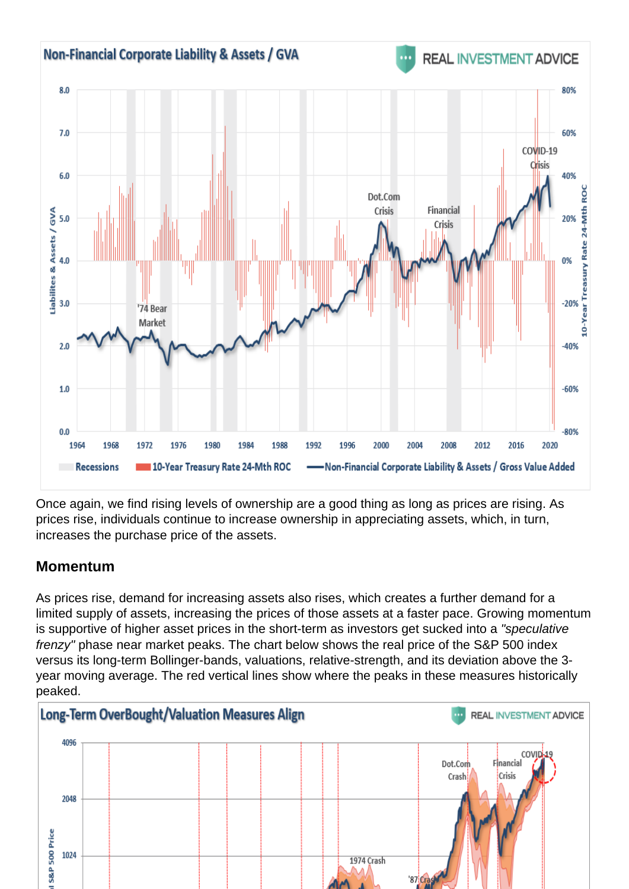Once again, we find rising levels of ownership are a good thing as long as prices are rising. As prices rise, individuals continue to increase ownership in appreciating assets, which, in turn, increases the purchase price of the assets.

#### Momentum

As prices rise, demand for increasing assets also rises, which creates a further demand for a limited supply of assets, increasing the prices of those assets at a faster pace. Growing momentum is supportive of higher asset prices in the short-term as investors get sucked into a "speculative frenzy" phase near market peaks. The chart below shows the real price of the S&P 500 index versus its long-term Bollinger-bands, valuations, relative-strength, and its deviation above the 3 year moving average. The red vertical lines show where the peaks in these measures historically peaked.